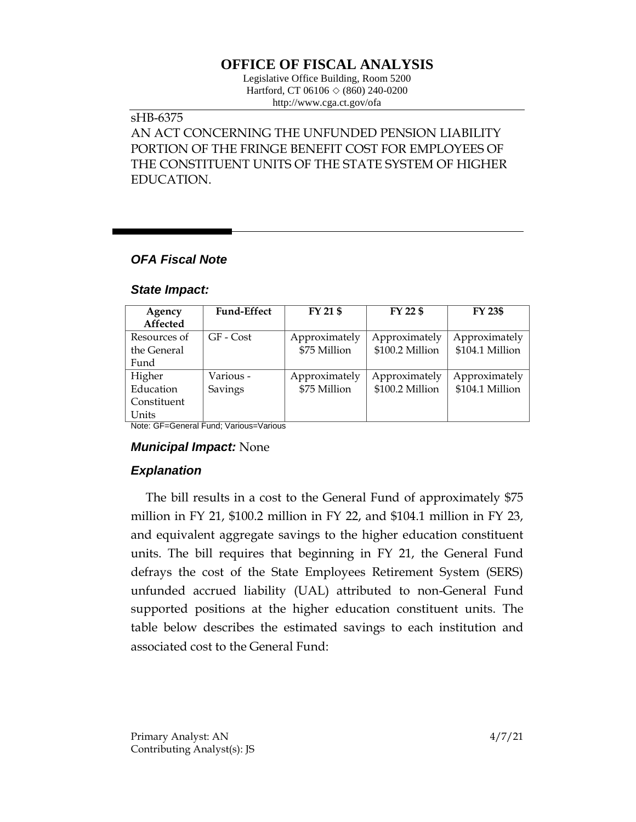# **OFFICE OF FISCAL ANALYSIS**

Legislative Office Building, Room 5200 Hartford, CT 06106  $\Diamond$  (860) 240-0200 http://www.cga.ct.gov/ofa

#### sHB-6375

AN ACT CONCERNING THE UNFUNDED PENSION LIABILITY PORTION OF THE FRINGE BENEFIT COST FOR EMPLOYEES OF THE CONSTITUENT UNITS OF THE STATE SYSTEM OF HIGHER EDUCATION.

### *OFA Fiscal Note*

#### *State Impact:*

| Agency       | <b>Fund-Effect</b> | FY 21 \$      | FY 22 \$        | <b>FY 23\$</b>  |
|--------------|--------------------|---------------|-----------------|-----------------|
| Affected     |                    |               |                 |                 |
| Resources of | GF - Cost          | Approximately | Approximately   | Approximately   |
| the General  |                    | \$75 Million  | \$100.2 Million | \$104.1 Million |
| Fund         |                    |               |                 |                 |
| Higher       | Various -          | Approximately | Approximately   | Approximately   |
| Education    | Savings            | \$75 Million  | \$100.2 Million | \$104.1 Million |
| Constituent  |                    |               |                 |                 |
| Units        |                    |               |                 |                 |

Note: GF=General Fund; Various=Various

#### *Municipal Impact:* None

## *Explanation*

The bill results in a cost to the General Fund of approximately \$75 million in FY 21, \$100.2 million in FY 22, and \$104.1 million in FY 23, and equivalent aggregate savings to the higher education constituent units. The bill requires that beginning in FY 21, the General Fund defrays the cost of the State Employees Retirement System (SERS) unfunded accrued liability (UAL) attributed to non-General Fund supported positions at the higher education constituent units. The table below describes the estimated savings to each institution and associated cost to the General Fund: